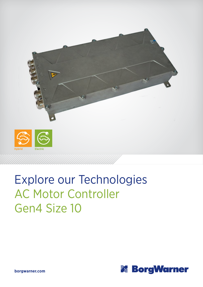

## Explore our Technologies AC Motor Controller Gen4 Size 10